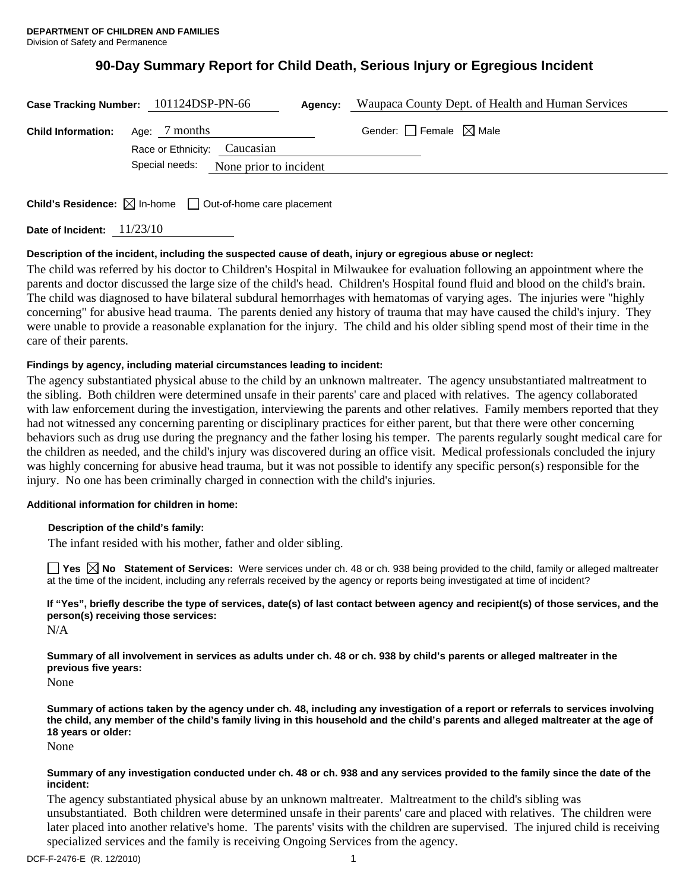## **90-Day Summary Report for Child Death, Serious Injury or Egregious Incident**

|                           | Case Tracking Number: 101124DSP-PN-66                                                     | <b>Agency:</b> Waupaca County Dept. of Health and Human Services |
|---------------------------|-------------------------------------------------------------------------------------------|------------------------------------------------------------------|
| <b>Child Information:</b> | Age: 7 months<br>Race or Ethnicity: Caucasian<br>Special needs:<br>None prior to incident | Gender: $\Box$ Female $\boxtimes$ Male                           |
|                           | <b>Child's Residence:</b> $\boxtimes$ In-home $\Box$ Out-of-home care placement           |                                                                  |

**Date of Incident:** 11/23/10

## **Description of the incident, including the suspected cause of death, injury or egregious abuse or neglect:**

The child was referred by his doctor to Children's Hospital in Milwaukee for evaluation following an appointment where the parents and doctor discussed the large size of the child's head. Children's Hospital found fluid and blood on the child's brain. The child was diagnosed to have bilateral subdural hemorrhages with hematomas of varying ages. The injuries were "highly concerning" for abusive head trauma. The parents denied any history of trauma that may have caused the child's injury. They were unable to provide a reasonable explanation for the injury. The child and his older sibling spend most of their time in the care of their parents.

## **Findings by agency, including material circumstances leading to incident:**

The agency substantiated physical abuse to the child by an unknown maltreater. The agency unsubstantiated maltreatment to the sibling. Both children were determined unsafe in their parents' care and placed with relatives. The agency collaborated with law enforcement during the investigation, interviewing the parents and other relatives. Family members reported that they had not witnessed any concerning parenting or disciplinary practices for either parent, but that there were other concerning behaviors such as drug use during the pregnancy and the father losing his temper. The parents regularly sought medical care for the children as needed, and the child's injury was discovered during an office visit. Medical professionals concluded the injury was highly concerning for abusive head trauma, but it was not possible to identify any specific person(s) responsible for the injury. No one has been criminally charged in connection with the child's injuries.

## **Additional information for children in home:**

## **Description of the child's family:**

The infant resided with his mother, father and older sibling.

■ Yes **No** Statement of Services: Were services under ch. 48 or ch. 938 being provided to the child, family or alleged maltreater at the time of the incident, including any referrals received by the agency or reports being investigated at time of incident?

# **If "Yes", briefly describe the type of services, date(s) of last contact between agency and recipient(s) of those services, and the person(s) receiving those services:**

N/A

**Summary of all involvement in services as adults under ch. 48 or ch. 938 by child's parents or alleged maltreater in the previous five years:** 

None

**Summary of actions taken by the agency under ch. 48, including any investigation of a report or referrals to services involving the child, any member of the child's family living in this household and the child's parents and alleged maltreater at the age of 18 years or older:** 

None

### **Summary of any investigation conducted under ch. 48 or ch. 938 and any services provided to the family since the date of the incident:**

The agency substantiated physical abuse by an unknown maltreater. Maltreatment to the child's sibling was unsubstantiated. Both children were determined unsafe in their parents' care and placed with relatives. The children were later placed into another relative's home. The parents' visits with the children are supervised. The injured child is receiving specialized services and the family is receiving Ongoing Services from the agency.